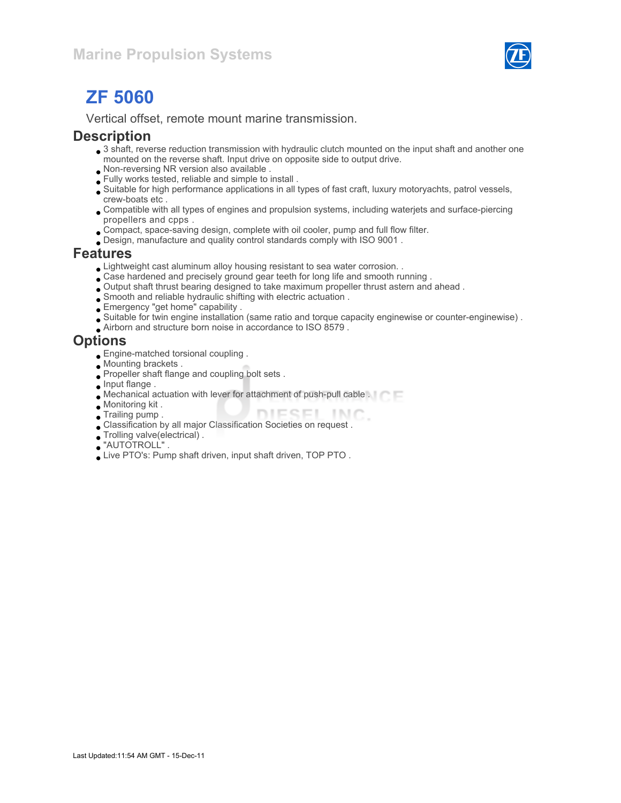

# ZF 5060

Vertical offset, remote mount marine transmission.

### **Description**

- 3 shaft, reverse reduction transmission with hydraulic clutch mounted on the input shaft and another one mounted on the reverse shaft. Input drive on opposite side to output drive.
- Non-reversing NR version also available .
- Fully works tested, reliable and simple to install .
- Suitable for high performance applications in all types of fast craft, luxury motoryachts, patrol vessels, crew-boats etc .
- Compatible with all types of engines and propulsion systems, including waterjets and surface-piercing propellers and cpps .
- Compact, space-saving design, complete with oil cooler, pump and full flow filter.
- Design, manufacture and quality control standards comply with ISO 9001 .

### Features

- Lightweight cast aluminum alloy housing resistant to sea water corrosion. .
- Case hardened and precisely ground gear teeth for long life and smooth running .
- Output shaft thrust bearing designed to take maximum propeller thrust astern and ahead .
- Smooth and reliable hydraulic shifting with electric actuation .
- Emergency "get home" capability .
- Suitable for twin engine installation (same ratio and torque capacity enginewise or counter-enginewise) .
- Airborn and structure born noise in accordance to ISO 8579 .

## **Options**

- Engine-matched torsional coupling .
- Mounting brackets .
- Propeller shaft flange and coupling bolt sets .
- **Input flange.**
- Mechanical actuation with lever for attachment of push-pull cable .
- Monitoring kit .
- DIESEL INC. Trailing pump .
- Classification by all major Classification Societies on request .
- Trolling valve(electrical) .
- "AUTOTROLL" .
- Live PTO's: Pump shaft driven, input shaft driven, TOP PTO .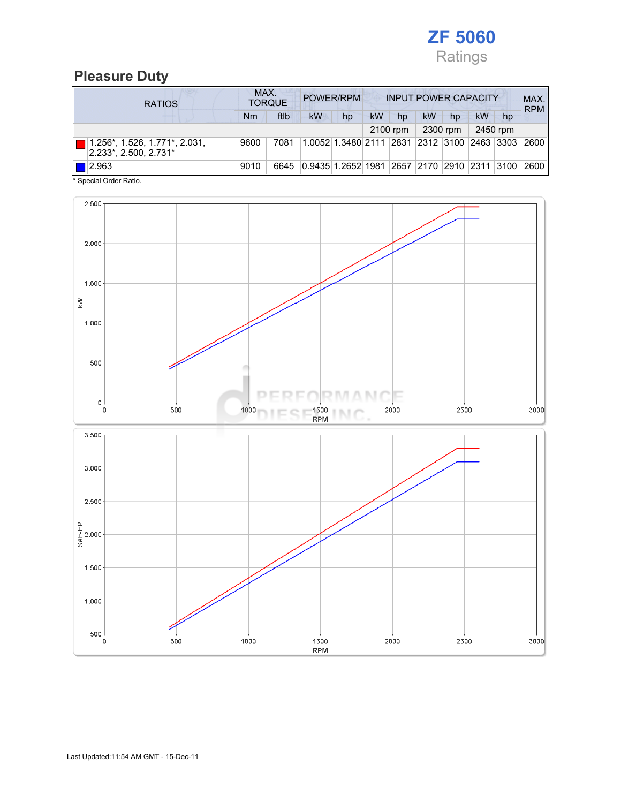

## Pleasure Duty

| <b>RATIOS</b>                                          | MAX.<br>POWER/RPM<br><b>INPUT POWER CAPACITY</b><br><b>TORQUE</b> |      |                                                  |                                             |           |    |    |    | MAX.<br><b>RPM</b> |    |      |
|--------------------------------------------------------|-------------------------------------------------------------------|------|--------------------------------------------------|---------------------------------------------|-----------|----|----|----|--------------------|----|------|
|                                                        | Nm                                                                | ftlb | <b>kW</b>                                        | hp                                          | <b>kW</b> | hp | kW | hp | kW                 | hp |      |
| 2450 rpm<br>2300 rpm<br>2100 rpm                       |                                                                   |      |                                                  |                                             |           |    |    |    |                    |    |      |
| 1.256*, 1.526, 1.771*, 2.031,<br>2.233*, 2.500, 2.731* | 9600                                                              | 7081 |                                                  | 1.0052 1.3480 2111 2831 2312 3100 2463 3303 |           |    |    |    |                    |    | 2600 |
| $\blacksquare$ 2.963                                   | 9010                                                              | 6645 | 0.9435 1.2652 1981  2657  2170  2910  2311  3100 |                                             |           |    |    |    |                    |    | 2600 |

\* Special Order Ratio.

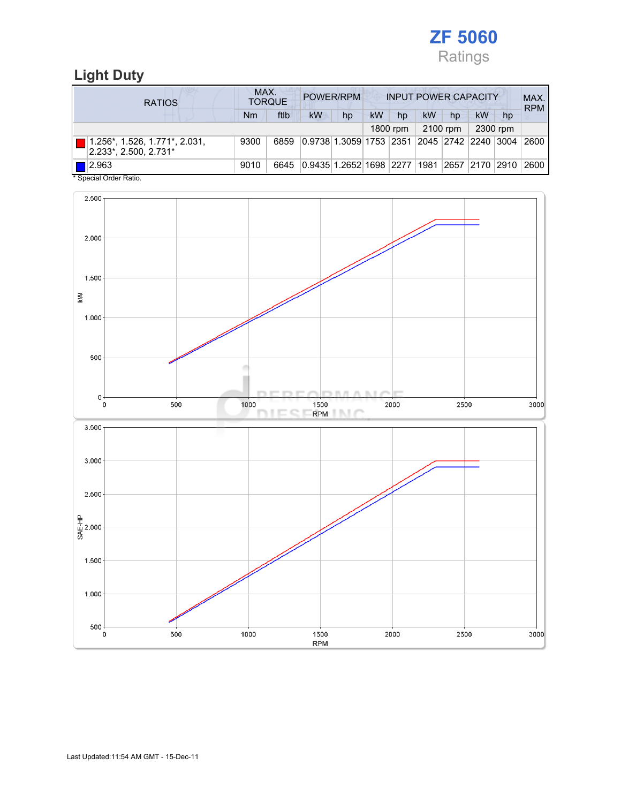

## Light Duty

| <b>RATIOS</b>                                          | MAX.<br>POWER/RPM<br><b>INPUT POWER CAPACITY</b><br><b>TORQUE</b> |      |                                                  |    |    |          |    |          |                    | MAX.<br><b>RPM</b> |      |
|--------------------------------------------------------|-------------------------------------------------------------------|------|--------------------------------------------------|----|----|----------|----|----------|--------------------|--------------------|------|
|                                                        | Nm                                                                | ftlb | <b>kW</b>                                        | hp | kW | hp       | kW | hp       | kW                 | hp                 |      |
|                                                        |                                                                   |      |                                                  |    |    | 1800 rpm |    | 2100 rpm |                    | 2300 rpm           |      |
| 1.256*, 1.526, 1.771*, 2.031,<br>2.233*, 2.500, 2.731* | 9300                                                              | 6859 | 0.9738 1.3059 1753  2351  2045  2742  2240  3004 |    |    |          |    |          |                    |                    | 2600 |
| $\blacksquare$ 2.963<br>$\mathbf{A} \cap \mathbf{A}$   | 9010                                                              | 6645 | 0.9435 1.2652 1698  2277  1981                   |    |    |          |    |          | 2657   2170   2910 |                    | 2600 |

Special Order Ratio.

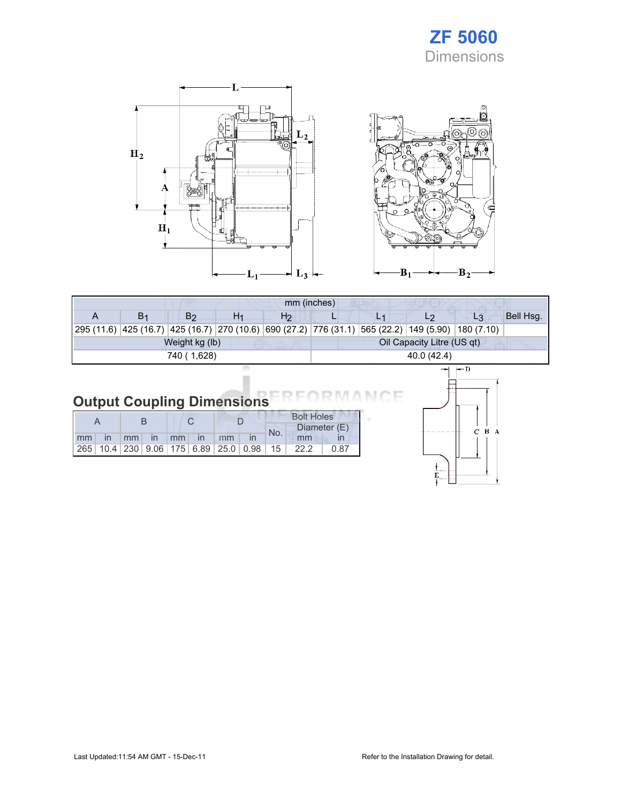## ZF 5060 Dimensions





| mm (inches)                                  |                |                |    |                |  |  |    |                                                                                                    |           |  |
|----------------------------------------------|----------------|----------------|----|----------------|--|--|----|----------------------------------------------------------------------------------------------------|-----------|--|
|                                              | B <sub>1</sub> | B <sub>2</sub> | H1 | H <sub>2</sub> |  |  | L2 | L <sub>3</sub>                                                                                     | Bell Hsg. |  |
|                                              |                |                |    |                |  |  |    | 295 (11.6) 425 (16.7) 425 (16.7) 270 (10.6) 690 (27.2) 776 (31.1) 565 (22.2) 149 (5.90) 180 (7.10) |           |  |
| Oil Capacity Litre (US qt)<br>Weight kg (lb) |                |                |    |                |  |  |    |                                                                                                    |           |  |
| 740 (1,628)<br>40.0 (42.4)                   |                |                |    |                |  |  |    |                                                                                                    |           |  |
|                                              |                |                |    |                |  |  |    | l— D                                                                                               |           |  |

#### Output Coupling Dimensions NCE

|       |  |  |  |                |  | <b>Bolt Holes</b> |     |                                                                        |      |  |
|-------|--|--|--|----------------|--|-------------------|-----|------------------------------------------------------------------------|------|--|
|       |  |  |  |                |  |                   | No. | Diameter (E)                                                           |      |  |
| mm in |  |  |  | mm in mm in mm |  |                   |     | mm                                                                     |      |  |
|       |  |  |  |                |  |                   |     | $\vert$ 265   10.4   230   9.06   175   6.89   25.0   0.98   15   22.2 | 0.87 |  |